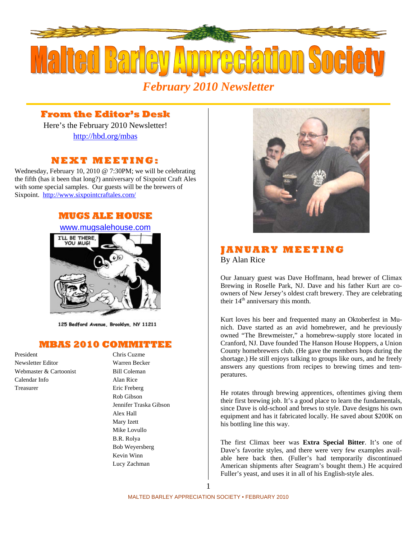

# **From the Editor's Desk**

Here's the February 2010 Newsletter! http://hbd.org/mbas

# **NEXT MEETI NG:**

Wednesday, February 10, 2010 @ 7:30PM; we will be celebrating the fifth (has it been that long?) anniversary of Sixpoint Craft Ales with some special samples. Our guests will be the brewers of Sixpoint. http://www.sixpointcraftales.com/

## **MUGS ALE HOUSE**



125 Bedford Avenue, Brooklyn, NY 11211

## **MBAS 2010 COMMITTEE**

President Chris Cuzme Newsletter Editor Warren Becker Webmaster & Cartoonist Bill Coleman Calendar Info Alan Rice Treasurer Eric Freberg

Rob Gibson Jennifer Traska Gibson Alex Hall Mary Izett Mike Lovullo B.R. Rolya Bob Weyersberg Kevin Winn Lucy Zachman



# **J AN UA RY MEETI N G** By Alan Rice

Our January guest was Dave Hoffmann, head brewer of Climax Brewing in Roselle Park, NJ. Dave and his father Kurt are coowners of New Jersey's oldest craft brewery. They are celebrating their  $14<sup>th</sup>$  anniversary this month.

Kurt loves his beer and frequented many an Oktoberfest in Munich. Dave started as an avid homebrewer, and he previously owned "The Brewmeister," a homebrew-supply store located in Cranford, NJ. Dave founded The Hanson House Hoppers, a Union County homebrewers club. (He gave the members hops during the shortage.) He still enjoys talking to groups like ours, and he freely answers any questions from recipes to brewing times and temperatures.

He rotates through brewing apprentices, oftentimes giving them their first brewing job. It's a good place to learn the fundamentals, since Dave is old-school and brews to style. Dave designs his own equipment and has it fabricated locally. He saved about \$200K on his bottling line this way.

The first Climax beer was **Extra Special Bitter**. It's one of Dave's favorite styles, and there were very few examples available here back then. (Fuller's had temporarily discontinued American shipments after Seagram's bought them.) He acquired Fuller's yeast, and uses it in all of his English-style ales.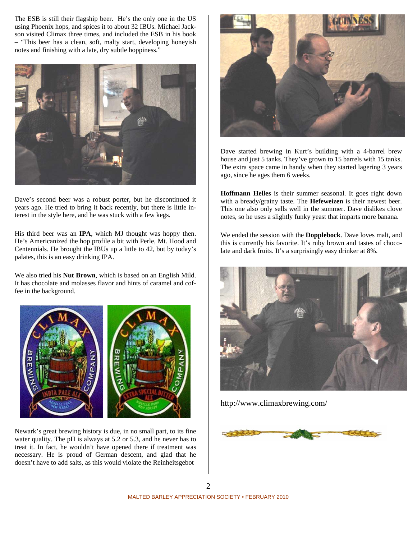The ESB is still their flagship beer. He's the only one in the US using Phoenix hops, and spices it to about 32 IBUs. Michael Jackson visited Climax three times, and included the ESB in his book – "This beer has a clean, soft, malty start, developing honeyish notes and finishing with a late, dry subtle hoppiness."



Dave's second beer was a robust porter, but he discontinued it years ago. He tried to bring it back recently, but there is little interest in the style here, and he was stuck with a few kegs.

His third beer was an **IPA**, which MJ thought was hoppy then. He's Americanized the hop profile a bit with Perle, Mt. Hood and Centennials. He brought the IBUs up a little to 42, but by today's palates, this is an easy drinking IPA.

We also tried his **Nut Brown**, which is based on an English Mild. It has chocolate and molasses flavor and hints of caramel and coffee in the background.



Newark's great brewing history is due, in no small part, to its fine water quality. The pH is always at 5.2 or 5.3, and he never has to treat it. In fact, he wouldn't have opened there if treatment was necessary. He is proud of German descent, and glad that he doesn't have to add salts, as this would violate the Reinheitsgebot



Dave started brewing in Kurt's building with a 4-barrel brew house and just 5 tanks. They've grown to 15 barrels with 15 tanks. The extra space came in handy when they started lagering 3 years ago, since he ages them 6 weeks.

**Hoffmann Helles** is their summer seasonal. It goes right down with a bready/grainy taste. The **Hefeweizen** is their newest beer. This one also only sells well in the summer. Dave dislikes clove notes, so he uses a slightly funky yeast that imparts more banana.

We ended the session with the **Dopplebock**. Dave loves malt, and this is currently his favorite. It's ruby brown and tastes of chocolate and dark fruits. It's a surprisingly easy drinker at 8%.



http://www.climaxbrewing.com/

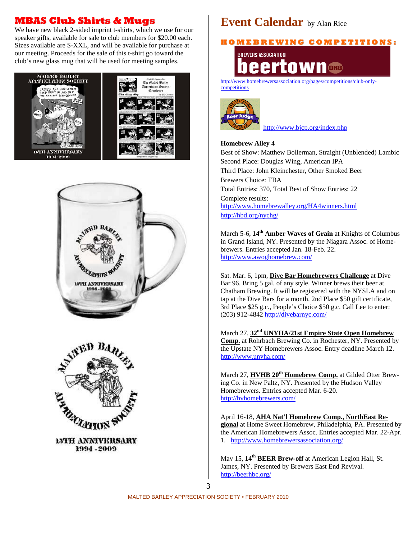# **MBAS Club Shirts & Mugs**

We have new black 2-sided imprint t-shirts, which we use for our speaker gifts, available for sale to club members for \$20.00 each. Sizes available are S-XXL, and will be available for purchase at our meeting. Proceeds for the sale of this t-shirt go toward the club's new glass mug that will be used for meeting samples.







15TH ANNIVERSARY 1994 - 2009

# **Event Calendar** by Alan Rice

### **H O M E B R E WI N G C O M P E TI TI O N S:**

**BREWERS ASSOCIATION** tow eer

http://www.homebrewersassociation.org/pages/competitions/club-onlycompetitions



http://www.bjcp.org/index.php

#### **Homebrew Alley 4**

Best of Show: Matthew Bollerman, Straight (Unblended) Lambic Second Place: Douglas Wing, American IPA Third Place: John Kleinchester, Other Smoked Beer Brewers Choice: TBA Total Entries: 370, Total Best of Show Entries: 22 Complete results: http://www.homebrewalley.org/HA4winners.html http://hbd.org/nychg/

March 5-6, **14th Amber Waves of Grain** at Knights of Columbus in Grand Island, NY. Presented by the Niagara Assoc. of Homebrewers. Entries accepted Jan. 18-Feb. 22. http://www.awoghomebrew.com/

Sat. Mar. 6, 1pm, **Dive Bar Homebrewers Challenge** at Dive Bar 96. Bring 5 gal. of any style. Winner brews their beer at Chatham Brewing. It will be registered with the NYSLA and on tap at the Dive Bars for a month. 2nd Place \$50 gift certificate, 3rd Place \$25 g.c., People's Choice \$50 g.c. Call Lee to enter: (203) 912-4842 http://divebarnyc.com/

March 27, **32nd UNYHA/21st Empire State Open Homebrew Comp.** at Rohrbach Brewing Co. in Rochester, NY. Presented by the Upstate NY Homebrewers Assoc. Entry deadline March 12. http://www.unyha.com/

March 27, **HVHB 20th Homebrew Comp.** at Gilded Otter Brewing Co. in New Paltz, NY. Presented by the Hudson Valley Homebrewers. Entries accepted Mar. 6-20. http://hvhomebrewers.com/

April 16-18, **AHA Nat'l Homebrew Comp., NorthEast Regional** at Home Sweet Homebrew, Philadelphia, PA. Presented by the American Homebrewers Assoc. Entries accepted Mar. 22-Apr. 1. http://www.homebrewersassociation.org/

May 15, **14th BEER Brew-off** at American Legion Hall, St. James, NY. Presented by Brewers East End Revival. http://beerhbc.org/